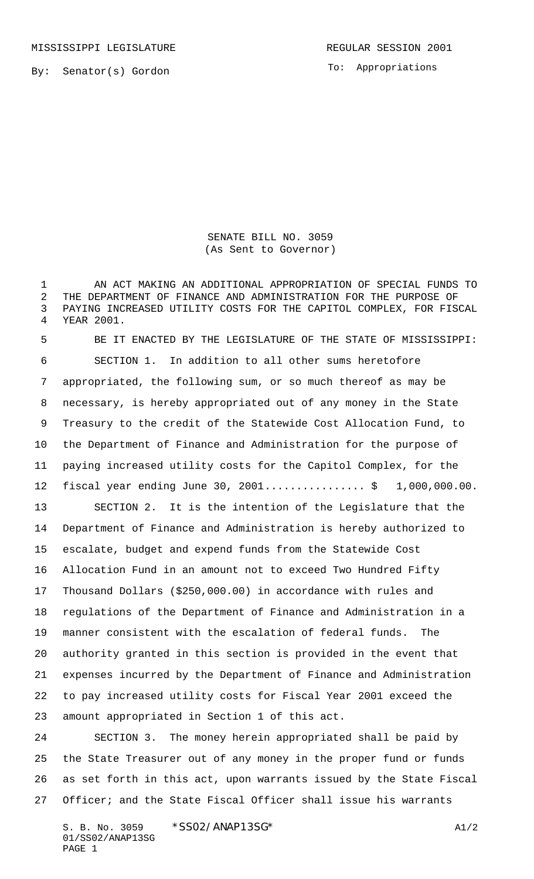MISSISSIPPI LEGISLATURE **REGULAR SESSION 2001** 

To: Appropriations

SENATE BILL NO. 3059 (As Sent to Governor)

 AN ACT MAKING AN ADDITIONAL APPROPRIATION OF SPECIAL FUNDS TO THE DEPARTMENT OF FINANCE AND ADMINISTRATION FOR THE PURPOSE OF PAYING INCREASED UTILITY COSTS FOR THE CAPITOL COMPLEX, FOR FISCAL YEAR 2001.

 BE IT ENACTED BY THE LEGISLATURE OF THE STATE OF MISSISSIPPI: SECTION 1. In addition to all other sums heretofore appropriated, the following sum, or so much thereof as may be necessary, is hereby appropriated out of any money in the State Treasury to the credit of the Statewide Cost Allocation Fund, to the Department of Finance and Administration for the purpose of paying increased utility costs for the Capitol Complex, for the 12 fiscal year ending June 30, 2001................... \$ 1,000,000.00. SECTION 2. It is the intention of the Legislature that the Department of Finance and Administration is hereby authorized to escalate, budget and expend funds from the Statewide Cost Allocation Fund in an amount not to exceed Two Hundred Fifty Thousand Dollars (\$250,000.00) in accordance with rules and regulations of the Department of Finance and Administration in a manner consistent with the escalation of federal funds. The

 authority granted in this section is provided in the event that expenses incurred by the Department of Finance and Administration to pay increased utility costs for Fiscal Year 2001 exceed the amount appropriated in Section 1 of this act.

 SECTION 3. The money herein appropriated shall be paid by the State Treasurer out of any money in the proper fund or funds as set forth in this act, upon warrants issued by the State Fiscal Officer; and the State Fiscal Officer shall issue his warrants

S. B. No. 3059 \* SSO2/ANAP13SG\* A1/2 01/SS02/ANAP13SG PAGE 1